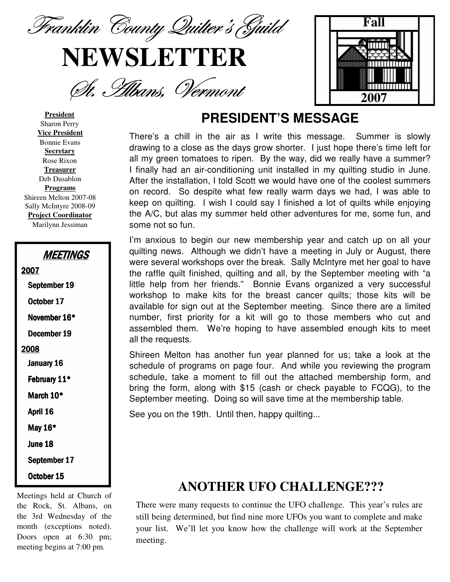Franklin County Quilter's Guild

# **NEWSLETTER**

St. Abans, Vermont



#### **President** Sharon Perry **Vice President** Bonnie Evans **Secretary** Rose Rixon **Treasurer** Deb Dusablon **Programs** Shireen Melton 2007-08 Sally McIntyre 2008-09 **Project Coordinator**

Marilynn Jessiman

| <b>MEETINGS</b> |
|-----------------|
| 2007            |
| September 19    |
| October 17      |
| November 16*    |
| December 19     |
| 2008            |
| January 16      |
| February 11*    |
| March 10*       |
| April 16        |
| May 16*         |
| June 18         |
| September 17    |
| October 15      |

Meetings held at Church of the Rock, St. Albans, on the 3rd Wednesday of the month (exceptions noted). Doors open at 6:30 pm; meeting begins at 7:00 pm.

#### **PRESIDENT'S MESSAGE**

There's a chill in the air as I write this message. Summer is slowly drawing to a close as the days grow shorter. I just hope there's time left for all my green tomatoes to ripen. By the way, did we really have a summer? I finally had an air-conditioning unit installed in my quilting studio in June. After the installation, I told Scott we would have one of the coolest summers on record. So despite what few really warm days we had, I was able to keep on quilting. I wish I could say I finished a lot of quilts while enjoying the A/C, but alas my summer held other adventures for me, some fun, and some not so fun.

I'm anxious to begin our new membership year and catch up on all your quilting news. Although we didn't have a meeting in July or August, there were several workshops over the break. Sally McIntyre met her goal to have the raffle quilt finished, quilting and all, by the September meeting with "a little help from her friends." Bonnie Evans organized a very successful workshop to make kits for the breast cancer quilts; those kits will be available for sign out at the September meeting. Since there are a limited number, first priority for a kit will go to those members who cut and assembled them. We're hoping to have assembled enough kits to meet all the requests.

Shireen Melton has another fun year planned for us; take a look at the schedule of programs on page four. And while you reviewing the program schedule, take a moment to fill out the attached membership form, and bring the form, along with \$15 (cash or check payable to FCQG), to the September meeting. Doing so will save time at the membership table.

See you on the 19th. Until then, happy quilting...

#### **ANOTHER UFO CHALLENGE???**

There were many requests to continue the UFO challenge. This year's rules are still being determined, but find nine more UFOs you want to complete and make your list. We'll let you know how the challenge will work at the September meeting.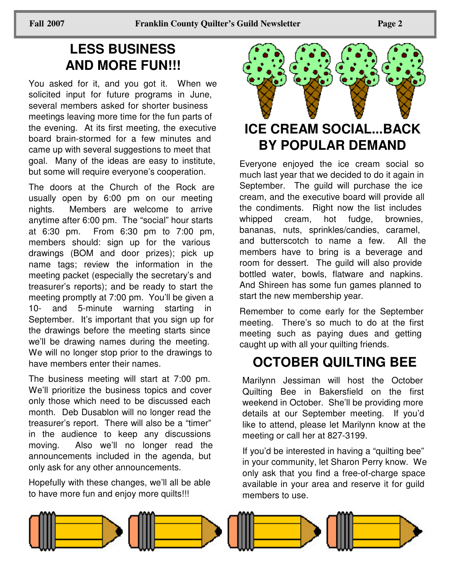## **LESS BUSINESS AND MORE FUN!!!**

You asked for it, and you got it. When we solicited input for future programs in June, several members asked for shorter business meetings leaving more time for the fun parts of the evening. At its first meeting, the executive board brain-stormed for a few minutes and came up with several suggestions to meet that goal. Many of the ideas are easy to institute, but some will require everyone's cooperation.

The doors at the Church of the Rock are usually open by 6:00 pm on our meeting nights. Members are welcome to arrive anytime after 6:00 pm. The "social" hour starts at 6:30 pm. From 6:30 pm to 7:00 pm, members should: sign up for the various drawings (BOM and door prizes); pick up name tags; review the information in the meeting packet (especially the secretary's and treasurer's reports); and be ready to start the meeting promptly at 7:00 pm. You'll be given a 10- and 5-minute warning starting in September. It's important that you sign up for the drawings before the meeting starts since we'll be drawing names during the meeting. We will no longer stop prior to the drawings to have members enter their names.

The business meeting will start at 7:00 pm. We'll prioritize the business topics and cover only those which need to be discussed each month. Deb Dusablon will no longer read the treasurer's report. There will also be a "timer" in the audience to keep any discussions moving. Also we'll no longer read the announcements included in the agenda, but only ask for any other announcements.

Hopefully with these changes, we'll all be able to have more fun and enjoy more quilts!!!



#### **ICE CREAM SOCIAL...BACK BY POPULAR DEMAND**

Everyone enjoyed the ice cream social so much last year that we decided to do it again in September. The guild will purchase the ice cream, and the executive board will provide all the condiments. Right now the list includes whipped cream, hot fudge, brownies, bananas, nuts, sprinkles/candies, caramel, and butterscotch to name a few. All the members have to bring is a beverage and room for dessert. The guild will also provide bottled water, bowls, flatware and napkins. And Shireen has some fun games planned to start the new membership year.

Remember to come early for the September meeting. There's so much to do at the first meeting such as paying dues and getting caught up with all your quilting friends.

# **OCTOBER QUILTING BEE**

Marilynn Jessiman will host the October Quilting Bee in Bakersfield on the first weekend in October. She'll be providing more details at our September meeting. If you'd like to attend, please let Marilynn know at the meeting or call her at 827-3199.

If you'd be interested in having a "quilting bee" in your community, let Sharon Perry know. We only ask that you find a free-of-charge space available in your area and reserve it for guild members to use.

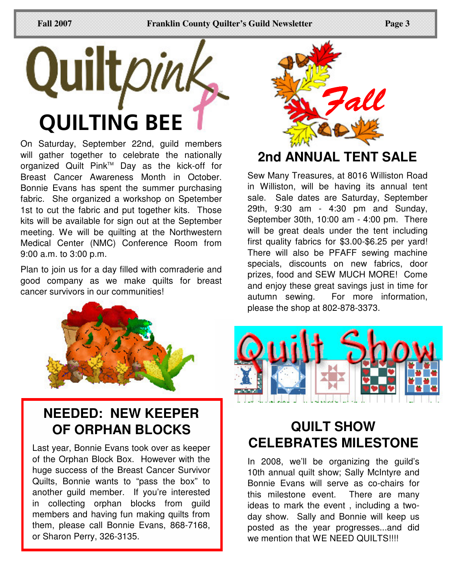

On Saturday, September 22nd, guild members will gather together to celebrate the nationally organized Quilt Pink™ Day as the kick-off for Breast Cancer Awareness Month in October. Bonnie Evans has spent the summer purchasing fabric. She organized a workshop on Spetember 1st to cut the fabric and put together kits. Those kits will be available for sign out at the September meeting. We will be quilting at the Northwestern Medical Center (NMC) Conference Room from 9:00 a.m. to 3:00 p.m.

Plan to join us for a day filled with comraderie and good company as we make quilts for breast cancer survivors in our communities!



#### **NEEDED: NEW KEEPER OF ORPHAN BLOCKS**

Last year, Bonnie Evans took over as keeper of the Orphan Block Box. However with the huge success of the Breast Cancer Survivor Quilts, Bonnie wants to "pass the box" to another guild member. If you're interested in collecting orphan blocks from guild members and having fun making quilts from them, please call Bonnie Evans, 868-7168, or Sharon Perry, 326-3135.



### **2nd ANNUAL TENT SALE**

Sew Many Treasures, at 8016 Williston Road in Williston, will be having its annual tent sale. Sale dates are Saturday, September 29th, 9:30 am - 4:30 pm and Sunday, September 30th, 10:00 am - 4:00 pm. There will be great deals under the tent including first quality fabrics for \$3.00-\$6.25 per yard! There will also be PFAFF sewing machine specials, discounts on new fabrics, door prizes, food and SEW MUCH MORE! Come and enjoy these great savings just in time for autumn sewing. For more information, please the shop at 802-878-3373.



# **QUILT SHOW CELEBRATES MILESTONE**

In 2008, we'll be organizing the guild's 10th annual quilt show; Sally McIntyre and Bonnie Evans will serve as co-chairs for this milestone event. There are many ideas to mark the event , including a twoday show. Sally and Bonnie will keep us posted as the year progresses...and did we mention that WE NEED QUILTS!!!!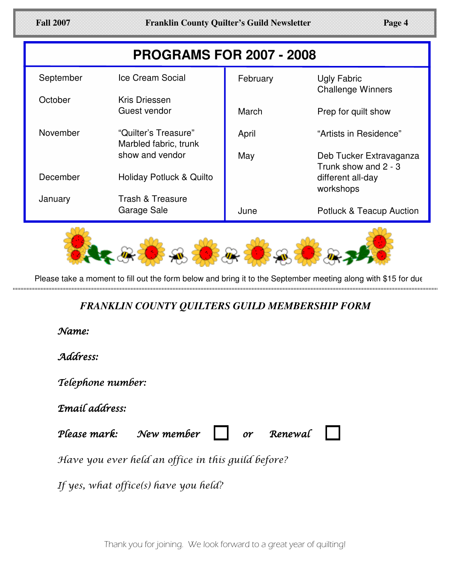| Page 4 |  |
|--------|--|
|        |  |

| <b>PROGRAMS FOR 2007 - 2008</b> |                                               |          |                                                 |  |
|---------------------------------|-----------------------------------------------|----------|-------------------------------------------------|--|
| September                       | Ice Cream Social                              | February | Ugly Fabric<br><b>Challenge Winners</b>         |  |
| October                         | Kris Driessen                                 |          |                                                 |  |
|                                 | Guest vendor                                  | March    | Prep for quilt show                             |  |
| November                        | "Quilter's Treasure"<br>Marbled fabric, trunk | April    | "Artists in Residence"                          |  |
|                                 | show and vendor                               | May      | Deb Tucker Extravaganza<br>Trunk show and 2 - 3 |  |
| December                        | Holiday Potluck & Quilto                      |          | different all-day<br>workshops                  |  |
| January                         | Trash & Treasure                              |          |                                                 |  |
|                                 | Garage Sale                                   | June     | <b>Potluck &amp; Teacup Auction</b>             |  |



Please take a moment to fill out the form below and bring it to the September meeting along with \$15 for due 

#### *FRANKLIN COUNTY QUILTERS GUILD MEMBERSHIP FORM*

:Name

Address:

Telephone number:

Email address:

Please ma  $\mathcal{N}$ ew member  $\parallel$   $\parallel$  or Renewal

Have you ever held an office in this guild before?

If yes, what office(s) have you held?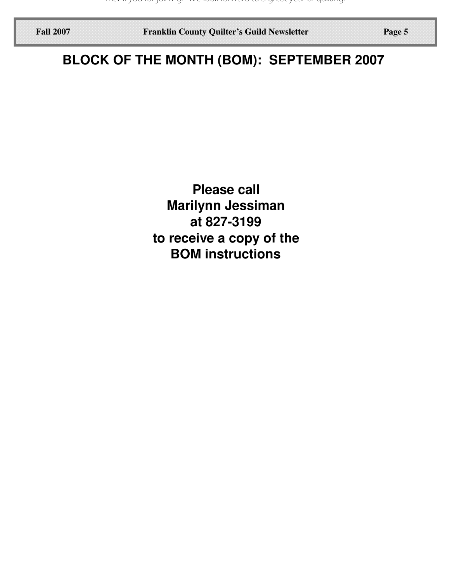**Fall 2007 Franklin County Quilter's Guild Newsletter Page 5**

# **BLOCK OF THE MONTH (BOM): SEPTEMBER 2007**

**Please call Marilynn Jessiman at 827-3199 to receive a copy of the BOM instructions**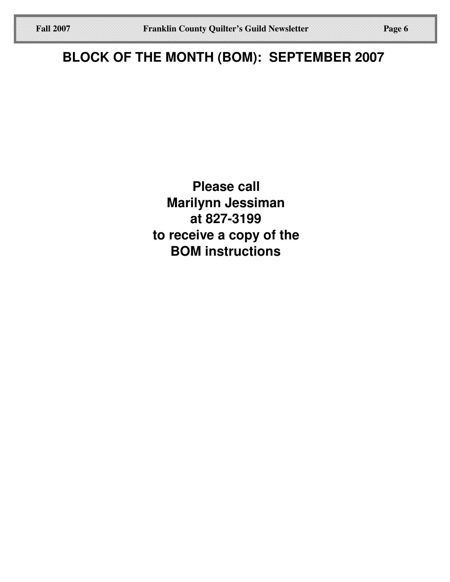**Please call Marilynn Jessiman at 827-3199 to receive a copy of the BOM instructions**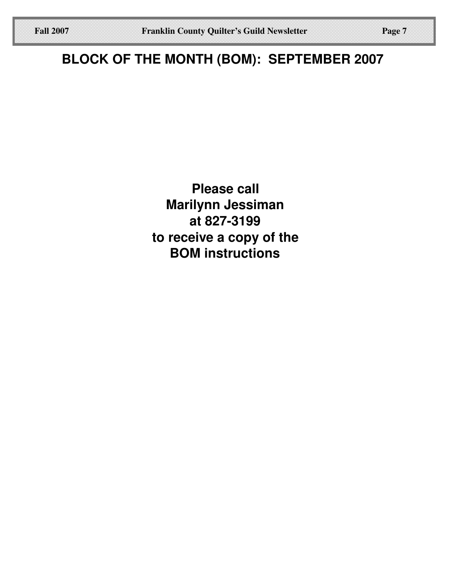# **BLOCK OF THE MONTH (BOM): SEPTEMBER 2007**

**Please call Marilynn Jessiman at 827-3199 to receive a copy of the BOM instructions**